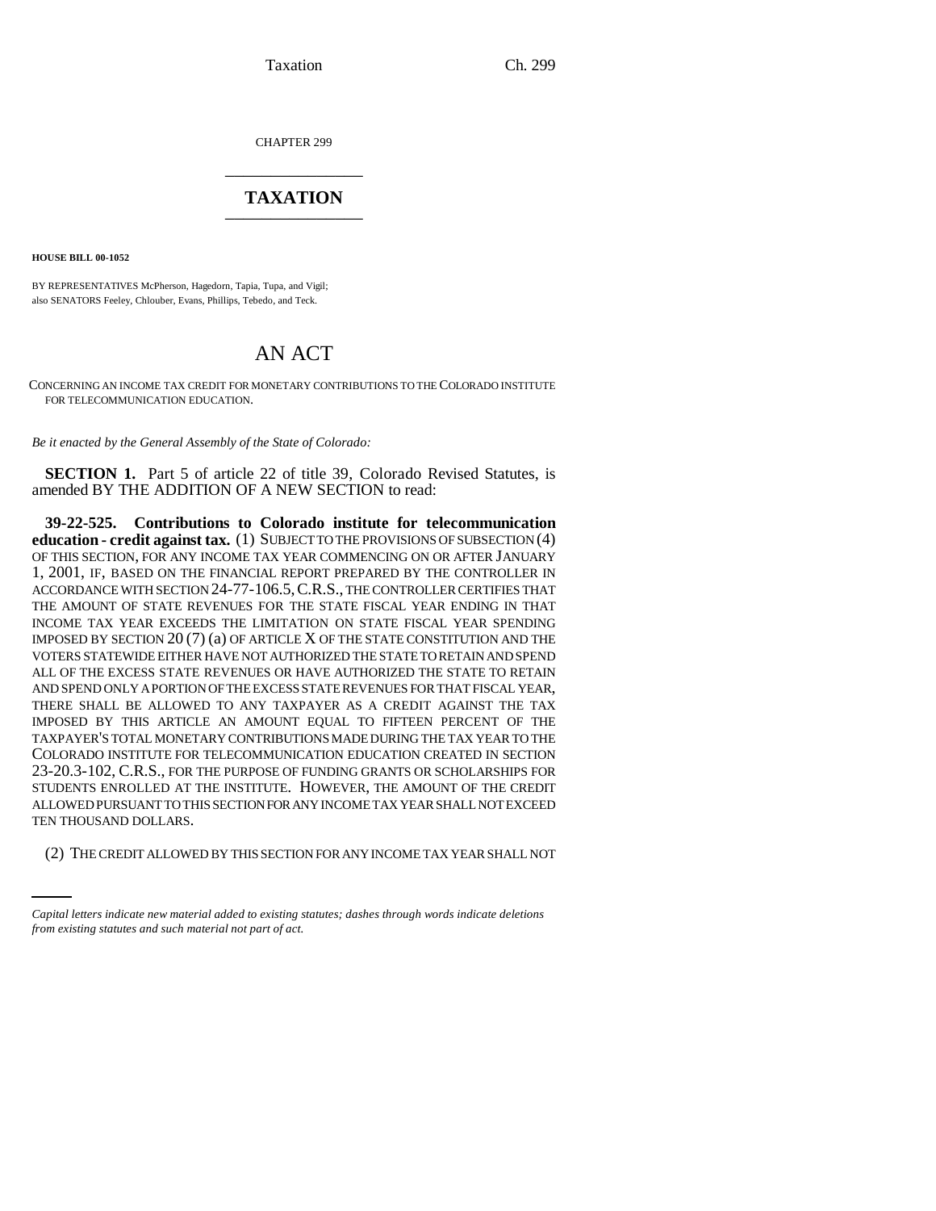Taxation Ch. 299

CHAPTER 299 \_\_\_\_\_\_\_\_\_\_\_\_\_\_\_

## **TAXATION** \_\_\_\_\_\_\_\_\_\_\_\_\_\_\_

**HOUSE BILL 00-1052** 

BY REPRESENTATIVES McPherson, Hagedorn, Tapia, Tupa, and Vigil; also SENATORS Feeley, Chlouber, Evans, Phillips, Tebedo, and Teck.

## AN ACT

CONCERNING AN INCOME TAX CREDIT FOR MONETARY CONTRIBUTIONS TO THE COLORADO INSTITUTE FOR TELECOMMUNICATION EDUCATION.

*Be it enacted by the General Assembly of the State of Colorado:*

**SECTION 1.** Part 5 of article 22 of title 39, Colorado Revised Statutes, is amended BY THE ADDITION OF A NEW SECTION to read:

TEN THOUSAND DOLLARS. **39-22-525. Contributions to Colorado institute for telecommunication education - credit against tax.** (1) SUBJECT TO THE PROVISIONS OF SUBSECTION (4) OF THIS SECTION, FOR ANY INCOME TAX YEAR COMMENCING ON OR AFTER JANUARY 1, 2001, IF, BASED ON THE FINANCIAL REPORT PREPARED BY THE CONTROLLER IN ACCORDANCE WITH SECTION 24-77-106.5,C.R.S., THE CONTROLLER CERTIFIES THAT THE AMOUNT OF STATE REVENUES FOR THE STATE FISCAL YEAR ENDING IN THAT INCOME TAX YEAR EXCEEDS THE LIMITATION ON STATE FISCAL YEAR SPENDING IMPOSED BY SECTION 20 (7) (a) OF ARTICLE X OF THE STATE CONSTITUTION AND THE VOTERS STATEWIDE EITHER HAVE NOT AUTHORIZED THE STATE TO RETAIN AND SPEND ALL OF THE EXCESS STATE REVENUES OR HAVE AUTHORIZED THE STATE TO RETAIN AND SPEND ONLY A PORTION OF THE EXCESS STATE REVENUES FOR THAT FISCAL YEAR, THERE SHALL BE ALLOWED TO ANY TAXPAYER AS A CREDIT AGAINST THE TAX IMPOSED BY THIS ARTICLE AN AMOUNT EQUAL TO FIFTEEN PERCENT OF THE TAXPAYER'S TOTAL MONETARY CONTRIBUTIONS MADE DURING THE TAX YEAR TO THE COLORADO INSTITUTE FOR TELECOMMUNICATION EDUCATION CREATED IN SECTION 23-20.3-102, C.R.S., FOR THE PURPOSE OF FUNDING GRANTS OR SCHOLARSHIPS FOR STUDENTS ENROLLED AT THE INSTITUTE. HOWEVER, THE AMOUNT OF THE CREDIT ALLOWED PURSUANT TO THIS SECTION FOR ANY INCOME TAX YEAR SHALL NOT EXCEED

(2) THE CREDIT ALLOWED BY THIS SECTION FOR ANY INCOME TAX YEAR SHALL NOT

*Capital letters indicate new material added to existing statutes; dashes through words indicate deletions from existing statutes and such material not part of act.*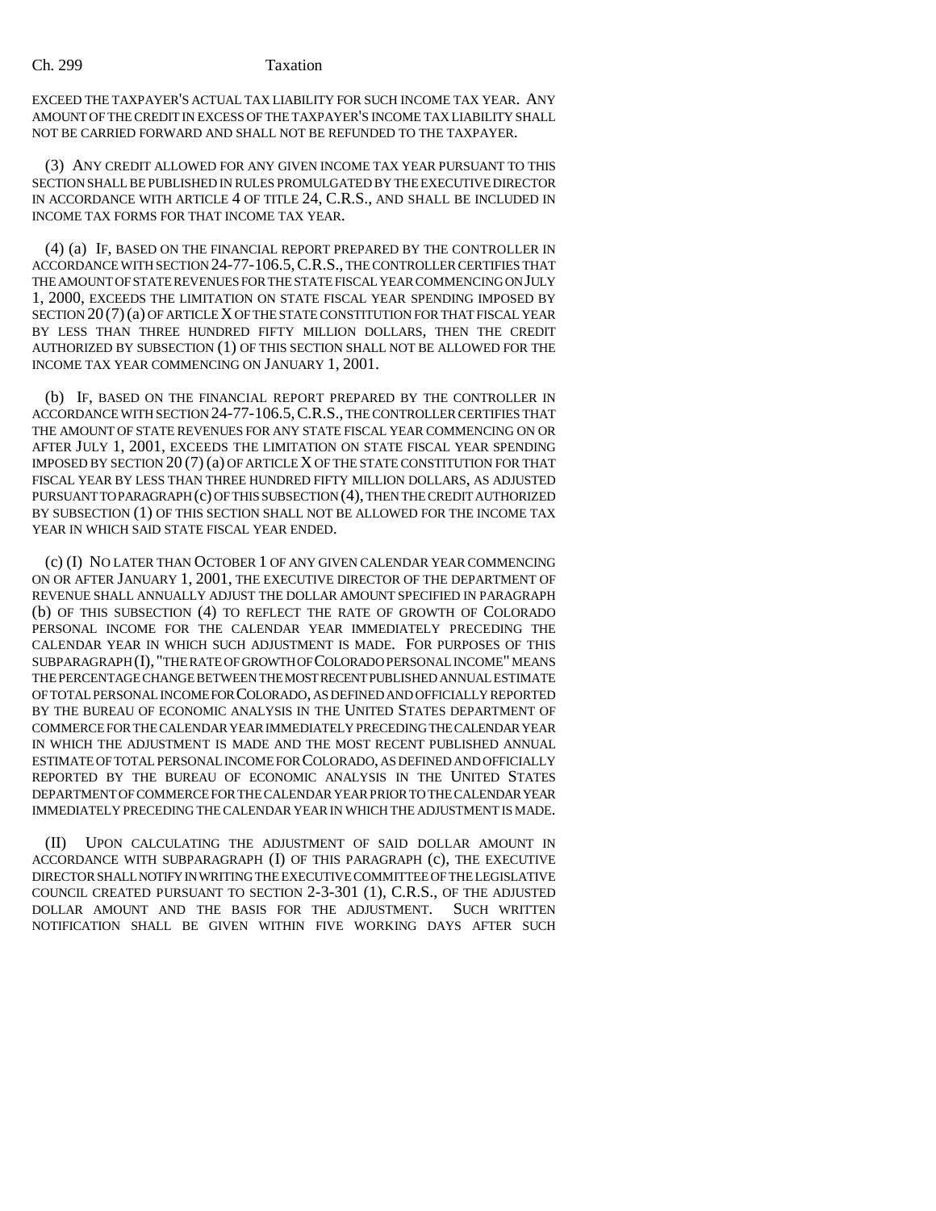## Ch. 299 Taxation

EXCEED THE TAXPAYER'S ACTUAL TAX LIABILITY FOR SUCH INCOME TAX YEAR. ANY AMOUNT OF THE CREDIT IN EXCESS OF THE TAXPAYER'S INCOME TAX LIABILITY SHALL NOT BE CARRIED FORWARD AND SHALL NOT BE REFUNDED TO THE TAXPAYER.

(3) ANY CREDIT ALLOWED FOR ANY GIVEN INCOME TAX YEAR PURSUANT TO THIS SECTION SHALL BE PUBLISHED IN RULES PROMULGATED BY THE EXECUTIVE DIRECTOR IN ACCORDANCE WITH ARTICLE 4 OF TITLE 24, C.R.S., AND SHALL BE INCLUDED IN INCOME TAX FORMS FOR THAT INCOME TAX YEAR.

(4) (a) IF, BASED ON THE FINANCIAL REPORT PREPARED BY THE CONTROLLER IN ACCORDANCE WITH SECTION 24-77-106.5,C.R.S., THE CONTROLLER CERTIFIES THAT THE AMOUNT OF STATE REVENUES FOR THE STATE FISCAL YEAR COMMENCING ON JULY 1, 2000, EXCEEDS THE LIMITATION ON STATE FISCAL YEAR SPENDING IMPOSED BY SECTION  $20(7)(a)$  OF ARTICLE X OF THE STATE CONSTITUTION FOR THAT FISCAL YEAR BY LESS THAN THREE HUNDRED FIFTY MILLION DOLLARS, THEN THE CREDIT AUTHORIZED BY SUBSECTION (1) OF THIS SECTION SHALL NOT BE ALLOWED FOR THE INCOME TAX YEAR COMMENCING ON JANUARY 1, 2001.

(b) IF, BASED ON THE FINANCIAL REPORT PREPARED BY THE CONTROLLER IN ACCORDANCE WITH SECTION 24-77-106.5,C.R.S., THE CONTROLLER CERTIFIES THAT THE AMOUNT OF STATE REVENUES FOR ANY STATE FISCAL YEAR COMMENCING ON OR AFTER JULY 1, 2001, EXCEEDS THE LIMITATION ON STATE FISCAL YEAR SPENDING IMPOSED BY SECTION 20 (7) (a) OF ARTICLE X OF THE STATE CONSTITUTION FOR THAT FISCAL YEAR BY LESS THAN THREE HUNDRED FIFTY MILLION DOLLARS, AS ADJUSTED PURSUANT TO PARAGRAPH (c) OF THIS SUBSECTION (4), THEN THE CREDIT AUTHORIZED BY SUBSECTION (1) OF THIS SECTION SHALL NOT BE ALLOWED FOR THE INCOME TAX YEAR IN WHICH SAID STATE FISCAL YEAR ENDED.

(c) (I) NO LATER THAN OCTOBER 1 OF ANY GIVEN CALENDAR YEAR COMMENCING ON OR AFTER JANUARY 1, 2001, THE EXECUTIVE DIRECTOR OF THE DEPARTMENT OF REVENUE SHALL ANNUALLY ADJUST THE DOLLAR AMOUNT SPECIFIED IN PARAGRAPH (b) OF THIS SUBSECTION (4) TO REFLECT THE RATE OF GROWTH OF COLORADO PERSONAL INCOME FOR THE CALENDAR YEAR IMMEDIATELY PRECEDING THE CALENDAR YEAR IN WHICH SUCH ADJUSTMENT IS MADE. FOR PURPOSES OF THIS SUBPARAGRAPH (I), "THE RATE OF GROWTH OF COLORADO PERSONAL INCOME" MEANS THE PERCENTAGE CHANGE BETWEEN THE MOST RECENT PUBLISHED ANNUAL ESTIMATE OF TOTAL PERSONAL INCOME FOR COLORADO, AS DEFINED AND OFFICIALLY REPORTED BY THE BUREAU OF ECONOMIC ANALYSIS IN THE UNITED STATES DEPARTMENT OF COMMERCE FOR THE CALENDAR YEAR IMMEDIATELY PRECEDING THE CALENDAR YEAR IN WHICH THE ADJUSTMENT IS MADE AND THE MOST RECENT PUBLISHED ANNUAL ESTIMATE OF TOTAL PERSONAL INCOME FOR COLORADO, AS DEFINED AND OFFICIALLY REPORTED BY THE BUREAU OF ECONOMIC ANALYSIS IN THE UNITED STATES DEPARTMENT OF COMMERCE FOR THE CALENDAR YEAR PRIOR TO THE CALENDAR YEAR IMMEDIATELY PRECEDING THE CALENDAR YEAR IN WHICH THE ADJUSTMENT IS MADE.

(II) UPON CALCULATING THE ADJUSTMENT OF SAID DOLLAR AMOUNT IN ACCORDANCE WITH SUBPARAGRAPH (I) OF THIS PARAGRAPH (c), THE EXECUTIVE DIRECTOR SHALL NOTIFY IN WRITING THE EXECUTIVE COMMITTEE OF THE LEGISLATIVE COUNCIL CREATED PURSUANT TO SECTION 2-3-301 (1), C.R.S., OF THE ADJUSTED DOLLAR AMOUNT AND THE BASIS FOR THE ADJUSTMENT. SUCH WRITTEN NOTIFICATION SHALL BE GIVEN WITHIN FIVE WORKING DAYS AFTER SUCH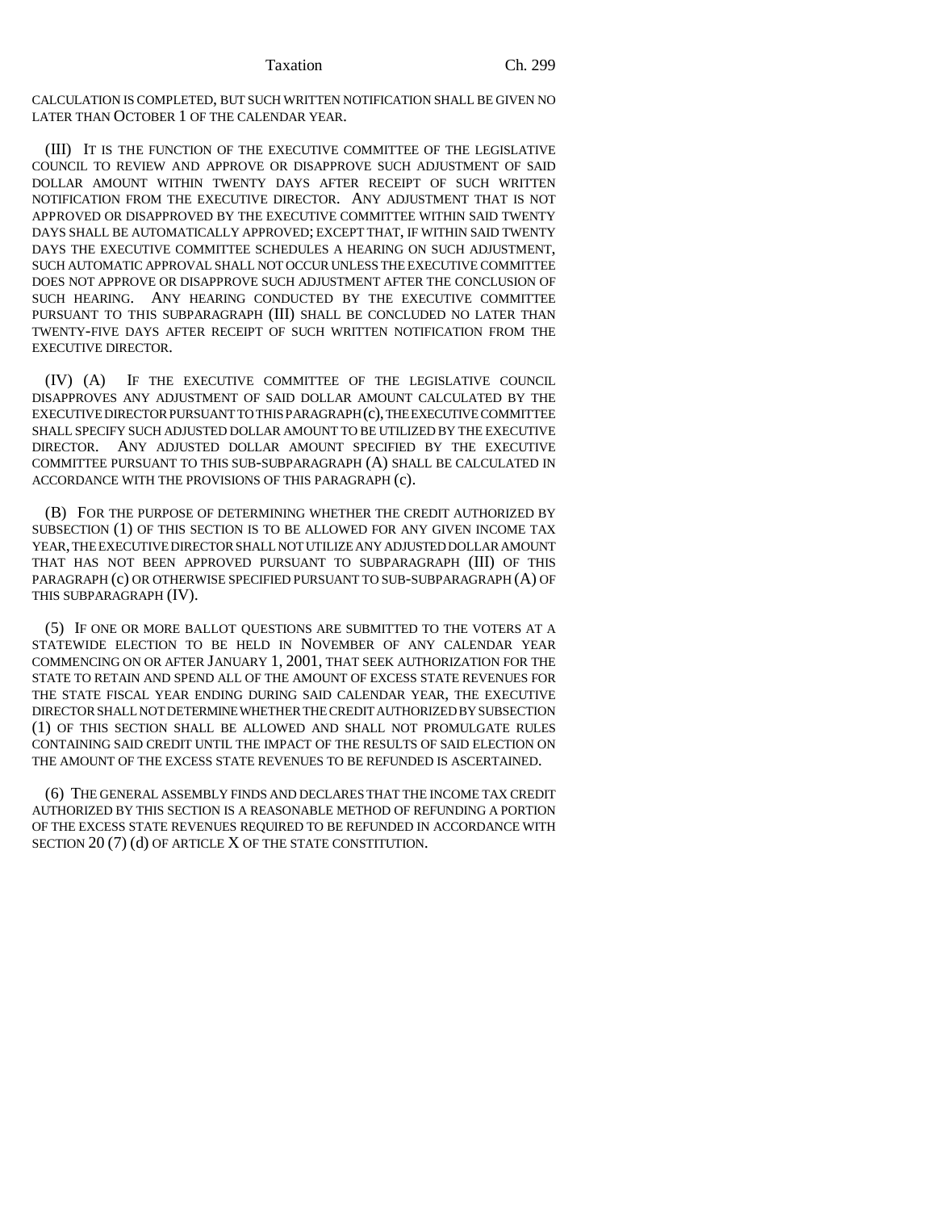CALCULATION IS COMPLETED, BUT SUCH WRITTEN NOTIFICATION SHALL BE GIVEN NO LATER THAN OCTOBER 1 OF THE CALENDAR YEAR.

(III) IT IS THE FUNCTION OF THE EXECUTIVE COMMITTEE OF THE LEGISLATIVE COUNCIL TO REVIEW AND APPROVE OR DISAPPROVE SUCH ADJUSTMENT OF SAID DOLLAR AMOUNT WITHIN TWENTY DAYS AFTER RECEIPT OF SUCH WRITTEN NOTIFICATION FROM THE EXECUTIVE DIRECTOR. ANY ADJUSTMENT THAT IS NOT APPROVED OR DISAPPROVED BY THE EXECUTIVE COMMITTEE WITHIN SAID TWENTY DAYS SHALL BE AUTOMATICALLY APPROVED; EXCEPT THAT, IF WITHIN SAID TWENTY DAYS THE EXECUTIVE COMMITTEE SCHEDULES A HEARING ON SUCH ADJUSTMENT, SUCH AUTOMATIC APPROVAL SHALL NOT OCCUR UNLESS THE EXECUTIVE COMMITTEE DOES NOT APPROVE OR DISAPPROVE SUCH ADJUSTMENT AFTER THE CONCLUSION OF SUCH HEARING. ANY HEARING CONDUCTED BY THE EXECUTIVE COMMITTEE PURSUANT TO THIS SUBPARAGRAPH (III) SHALL BE CONCLUDED NO LATER THAN TWENTY-FIVE DAYS AFTER RECEIPT OF SUCH WRITTEN NOTIFICATION FROM THE EXECUTIVE DIRECTOR.

(IV) (A) IF THE EXECUTIVE COMMITTEE OF THE LEGISLATIVE COUNCIL DISAPPROVES ANY ADJUSTMENT OF SAID DOLLAR AMOUNT CALCULATED BY THE EXECUTIVE DIRECTOR PURSUANT TO THIS PARAGRAPH (c), THE EXECUTIVE COMMITTEE SHALL SPECIFY SUCH ADJUSTED DOLLAR AMOUNT TO BE UTILIZED BY THE EXECUTIVE DIRECTOR. ANY ADJUSTED DOLLAR AMOUNT SPECIFIED BY THE EXECUTIVE COMMITTEE PURSUANT TO THIS SUB-SUBPARAGRAPH (A) SHALL BE CALCULATED IN ACCORDANCE WITH THE PROVISIONS OF THIS PARAGRAPH (c).

(B) FOR THE PURPOSE OF DETERMINING WHETHER THE CREDIT AUTHORIZED BY SUBSECTION (1) OF THIS SECTION IS TO BE ALLOWED FOR ANY GIVEN INCOME TAX YEAR, THE EXECUTIVE DIRECTOR SHALL NOT UTILIZE ANY ADJUSTED DOLLAR AMOUNT THAT HAS NOT BEEN APPROVED PURSUANT TO SUBPARAGRAPH (III) OF THIS PARAGRAPH (c) OR OTHERWISE SPECIFIED PURSUANT TO SUB-SUBPARAGRAPH (A) OF THIS SUBPARAGRAPH (IV).

(5) IF ONE OR MORE BALLOT QUESTIONS ARE SUBMITTED TO THE VOTERS AT A STATEWIDE ELECTION TO BE HELD IN NOVEMBER OF ANY CALENDAR YEAR COMMENCING ON OR AFTER JANUARY 1, 2001, THAT SEEK AUTHORIZATION FOR THE STATE TO RETAIN AND SPEND ALL OF THE AMOUNT OF EXCESS STATE REVENUES FOR THE STATE FISCAL YEAR ENDING DURING SAID CALENDAR YEAR, THE EXECUTIVE DIRECTOR SHALL NOT DETERMINE WHETHER THE CREDIT AUTHORIZED BY SUBSECTION (1) OF THIS SECTION SHALL BE ALLOWED AND SHALL NOT PROMULGATE RULES CONTAINING SAID CREDIT UNTIL THE IMPACT OF THE RESULTS OF SAID ELECTION ON THE AMOUNT OF THE EXCESS STATE REVENUES TO BE REFUNDED IS ASCERTAINED.

(6) THE GENERAL ASSEMBLY FINDS AND DECLARES THAT THE INCOME TAX CREDIT AUTHORIZED BY THIS SECTION IS A REASONABLE METHOD OF REFUNDING A PORTION OF THE EXCESS STATE REVENUES REQUIRED TO BE REFUNDED IN ACCORDANCE WITH SECTION 20(7) (d) OF ARTICLE X OF THE STATE CONSTITUTION.